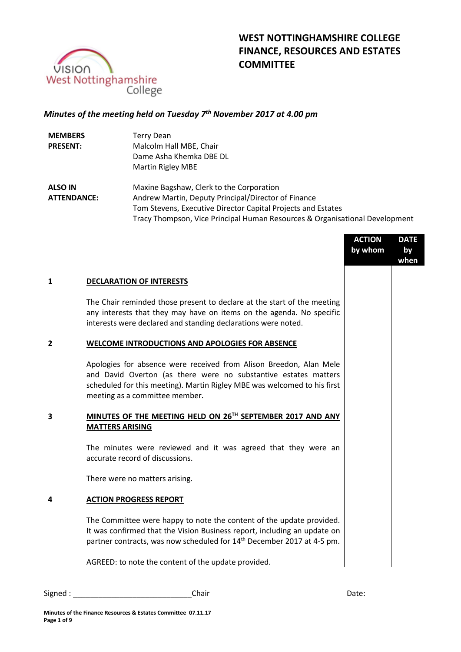

# **WEST NOTTINGHAMSHIRE COLLEGE FINANCE, RESOURCES AND ESTATES COMMITTEE**

# *Minutes of the meeting held on Tuesday 7 th November 2017 at 4.00 pm*

| <b>MEMBERS</b>     | Terry Dean                                                                  |
|--------------------|-----------------------------------------------------------------------------|
| <b>PRESENT:</b>    | Malcolm Hall MBE, Chair                                                     |
|                    | Dame Asha Khemka DBE DL                                                     |
|                    | Martin Rigley MBE                                                           |
| <b>ALSO IN</b>     | Maxine Bagshaw, Clerk to the Corporation                                    |
| <b>ATTENDANCE:</b> | Andrew Martin, Deputy Principal/Director of Finance                         |
|                    | Tom Stevens, Executive Director Capital Projects and Estates                |
|                    | Tracy Thompson, Vice Principal Human Resources & Organisational Development |

|   |                                                                                                                                                                                                                                                     | <b>ACTION</b><br>by whom | <b>DATE</b><br>by<br>when |
|---|-----------------------------------------------------------------------------------------------------------------------------------------------------------------------------------------------------------------------------------------------------|--------------------------|---------------------------|
| 1 | <b>DECLARATION OF INTERESTS</b>                                                                                                                                                                                                                     |                          |                           |
|   | The Chair reminded those present to declare at the start of the meeting<br>any interests that they may have on items on the agenda. No specific<br>interests were declared and standing declarations were noted.                                    |                          |                           |
| 2 | <b>WELCOME INTRODUCTIONS AND APOLOGIES FOR ABSENCE</b>                                                                                                                                                                                              |                          |                           |
|   | Apologies for absence were received from Alison Breedon, Alan Mele<br>and David Overton (as there were no substantive estates matters<br>scheduled for this meeting). Martin Rigley MBE was welcomed to his first<br>meeting as a committee member. |                          |                           |
| 3 | MINUTES OF THE MEETING HELD ON 26TH SEPTEMBER 2017 AND ANY<br><b>MATTERS ARISING</b>                                                                                                                                                                |                          |                           |
|   | The minutes were reviewed and it was agreed that they were an<br>accurate record of discussions.                                                                                                                                                    |                          |                           |
|   | There were no matters arising.                                                                                                                                                                                                                      |                          |                           |
| 4 | <b>ACTION PROGRESS REPORT</b>                                                                                                                                                                                                                       |                          |                           |
|   | The Committee were happy to note the content of the update provided.<br>It was confirmed that the Vision Business report, including an update on<br>partner contracts, was now scheduled for 14 <sup>th</sup> December 2017 at 4-5 pm.              |                          |                           |
|   | AGREED: to note the content of the update provided.                                                                                                                                                                                                 |                          |                           |
|   |                                                                                                                                                                                                                                                     |                          |                           |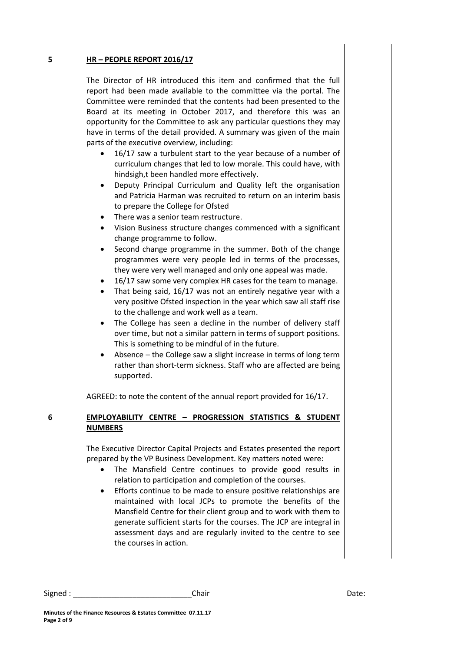#### **5 HR – PEOPLE REPORT 2016/17**

The Director of HR introduced this item and confirmed that the full report had been made available to the committee via the portal. The Committee were reminded that the contents had been presented to the Board at its meeting in October 2017, and therefore this was an opportunity for the Committee to ask any particular questions they may have in terms of the detail provided. A summary was given of the main parts of the executive overview, including:

- 16/17 saw a turbulent start to the year because of a number of curriculum changes that led to low morale. This could have, with hindsigh,t been handled more effectively.
- Deputy Principal Curriculum and Quality left the organisation and Patricia Harman was recruited to return on an interim basis to prepare the College for Ofsted
- There was a senior team restructure.
- Vision Business structure changes commenced with a significant change programme to follow.
- Second change programme in the summer. Both of the change programmes were very people led in terms of the processes, they were very well managed and only one appeal was made.
- 16/17 saw some very complex HR cases for the team to manage.
- That being said, 16/17 was not an entirely negative year with a very positive Ofsted inspection in the year which saw all staff rise to the challenge and work well as a team.
- The College has seen a decline in the number of delivery staff over time, but not a similar pattern in terms of support positions. This is something to be mindful of in the future.
- Absence the College saw a slight increase in terms of long term rather than short-term sickness. Staff who are affected are being supported.

AGREED: to note the content of the annual report provided for 16/17.

# **6 EMPLOYABILITY CENTRE – PROGRESSION STATISTICS & STUDENT NUMBERS**

The Executive Director Capital Projects and Estates presented the report prepared by the VP Business Development. Key matters noted were:

- The Mansfield Centre continues to provide good results in relation to participation and completion of the courses.
- Efforts continue to be made to ensure positive relationships are maintained with local JCPs to promote the benefits of the Mansfield Centre for their client group and to work with them to generate sufficient starts for the courses. The JCP are integral in assessment days and are regularly invited to the centre to see the courses in action.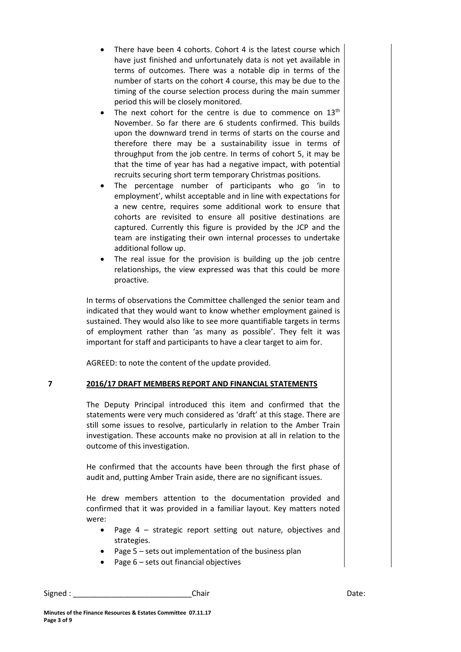- There have been 4 cohorts. Cohort 4 is the latest course which have just finished and unfortunately data is not yet available in terms of outcomes. There was a notable dip in terms of the number of starts on the cohort 4 course, this may be due to the timing of the course selection process during the main summer period this will be closely monitored.
- The next cohort for the centre is due to commence on  $13<sup>th</sup>$ November. So far there are 6 students confirmed. This builds upon the downward trend in terms of starts on the course and therefore there may be a sustainability issue in terms of throughput from the job centre. In terms of cohort 5, it may be that the time of year has had a negative impact, with potential recruits securing short term temporary Christmas positions.
- The percentage number of participants who go 'in to employment', whilst acceptable and in line with expectations for a new centre, requires some additional work to ensure that cohorts are revisited to ensure all positive destinations are captured. Currently this figure is provided by the JCP and the team are instigating their own internal processes to undertake additional follow up.
- The real issue for the provision is building up the job centre relationships, the view expressed was that this could be more proactive.

In terms of observations the Committee challenged the senior team and indicated that they would want to know whether employment gained is sustained. They would also like to see more quantifiable targets in terms of employment rather than 'as many as possible'. They felt it was important for staff and participants to have a clear target to aim for.

AGREED: to note the content of the update provided.

# **7 2016/17 DRAFT MEMBERS REPORT AND FINANCIAL STATEMENTS**

The Deputy Principal introduced this item and confirmed that the statements were very much considered as 'draft' at this stage. There are still some issues to resolve, particularly in relation to the Amber Train investigation. These accounts make no provision at all in relation to the outcome of this investigation.

He confirmed that the accounts have been through the first phase of audit and, putting Amber Train aside, there are no significant issues.

He drew members attention to the documentation provided and confirmed that it was provided in a familiar layout. Key matters noted were:

- Page 4 strategic report setting out nature, objectives and strategies.
- Page 5 sets out implementation of the business plan
- $\bullet$  Page 6 sets out financial objectives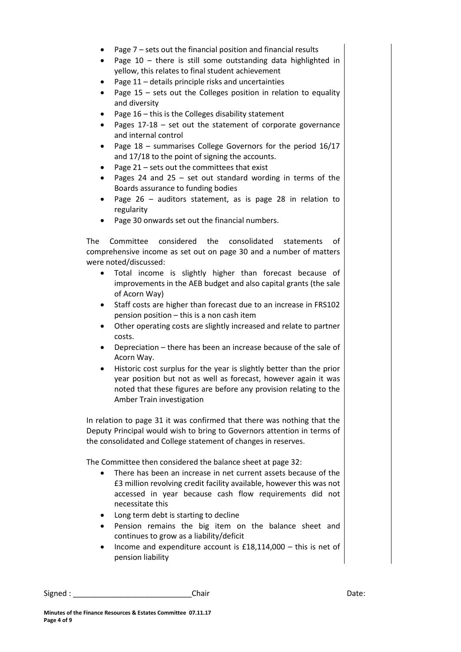- Page 7 sets out the financial position and financial results
- Page  $10$  there is still some outstanding data highlighted in yellow, this relates to final student achievement
- Page 11 details principle risks and uncertainties
- Page 15 sets out the Colleges position in relation to equality and diversity
- Page 16 this is the Colleges disability statement
- Pages 17-18 set out the statement of corporate governance and internal control
- Page 18 summarises College Governors for the period 16/17 and 17/18 to the point of signing the accounts.
- Page  $21$  sets out the committees that exist
- Pages 24 and 25 set out standard wording in terms of the Boards assurance to funding bodies
- Page 26 auditors statement, as is page 28 in relation to regularity
- Page 30 onwards set out the financial numbers.

The Committee considered the consolidated statements of comprehensive income as set out on page 30 and a number of matters were noted/discussed:

- Total income is slightly higher than forecast because of improvements in the AEB budget and also capital grants (the sale of Acorn Way)
- Staff costs are higher than forecast due to an increase in FRS102 pension position – this is a non cash item
- Other operating costs are slightly increased and relate to partner costs.
- Depreciation there has been an increase because of the sale of Acorn Way.
- Historic cost surplus for the year is slightly better than the prior year position but not as well as forecast, however again it was noted that these figures are before any provision relating to the Amber Train investigation

In relation to page 31 it was confirmed that there was nothing that the Deputy Principal would wish to bring to Governors attention in terms of the consolidated and College statement of changes in reserves.

The Committee then considered the balance sheet at page 32:

- There has been an increase in net current assets because of the £3 million revolving credit facility available, however this was not accessed in year because cash flow requirements did not necessitate this
- Long term debt is starting to decline
- Pension remains the big item on the balance sheet and continues to grow as a liability/deficit
- Income and expenditure account is £18,114,000 this is net of pension liability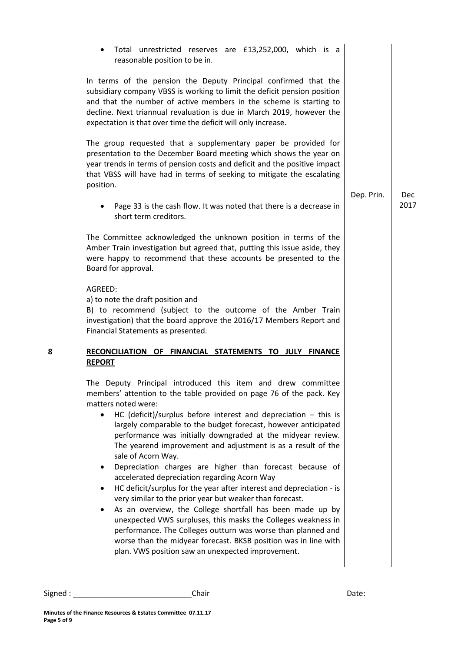|   | Total unrestricted reserves are £13,252,000, which is a<br>reasonable position to be in.                                                                                                                                                                                                                                                                                                                                                                                                                                                                                                                                                                                                                                                                                                                                                                                                                                                                                                                                                   |            |            |
|---|--------------------------------------------------------------------------------------------------------------------------------------------------------------------------------------------------------------------------------------------------------------------------------------------------------------------------------------------------------------------------------------------------------------------------------------------------------------------------------------------------------------------------------------------------------------------------------------------------------------------------------------------------------------------------------------------------------------------------------------------------------------------------------------------------------------------------------------------------------------------------------------------------------------------------------------------------------------------------------------------------------------------------------------------|------------|------------|
|   | In terms of the pension the Deputy Principal confirmed that the<br>subsidiary company VBSS is working to limit the deficit pension position<br>and that the number of active members in the scheme is starting to<br>decline. Next triannual revaluation is due in March 2019, however the<br>expectation is that over time the deficit will only increase.                                                                                                                                                                                                                                                                                                                                                                                                                                                                                                                                                                                                                                                                                |            |            |
|   | The group requested that a supplementary paper be provided for<br>presentation to the December Board meeting which shows the year on<br>year trends in terms of pension costs and deficit and the positive impact<br>that VBSS will have had in terms of seeking to mitigate the escalating<br>position.                                                                                                                                                                                                                                                                                                                                                                                                                                                                                                                                                                                                                                                                                                                                   | Dep. Prin. | <b>Dec</b> |
|   | Page 33 is the cash flow. It was noted that there is a decrease in<br>٠<br>short term creditors.                                                                                                                                                                                                                                                                                                                                                                                                                                                                                                                                                                                                                                                                                                                                                                                                                                                                                                                                           |            | 2017       |
|   | The Committee acknowledged the unknown position in terms of the<br>Amber Train investigation but agreed that, putting this issue aside, they<br>were happy to recommend that these accounts be presented to the<br>Board for approval.                                                                                                                                                                                                                                                                                                                                                                                                                                                                                                                                                                                                                                                                                                                                                                                                     |            |            |
|   | AGREED:<br>a) to note the draft position and<br>B) to recommend (subject to the outcome of the Amber Train<br>investigation) that the board approve the 2016/17 Members Report and<br>Financial Statements as presented.                                                                                                                                                                                                                                                                                                                                                                                                                                                                                                                                                                                                                                                                                                                                                                                                                   |            |            |
| 8 | RECONCILIATION OF FINANCIAL STATEMENTS TO JULY FINANCE<br><b>REPORT</b>                                                                                                                                                                                                                                                                                                                                                                                                                                                                                                                                                                                                                                                                                                                                                                                                                                                                                                                                                                    |            |            |
|   | The Deputy Principal introduced this item and drew committee<br>members' attention to the table provided on page 76 of the pack. Key<br>matters noted were:<br>HC (deficit)/surplus before interest and depreciation $-$ this is<br>$\bullet$<br>largely comparable to the budget forecast, however anticipated<br>performance was initially downgraded at the midyear review.<br>The yearend improvement and adjustment is as a result of the<br>sale of Acorn Way.<br>Depreciation charges are higher than forecast because of<br>accelerated depreciation regarding Acorn Way<br>HC deficit/surplus for the year after interest and depreciation - is<br>very similar to the prior year but weaker than forecast.<br>As an overview, the College shortfall has been made up by<br>unexpected VWS surpluses, this masks the Colleges weakness in<br>performance. The Colleges outturn was worse than planned and<br>worse than the midyear forecast. BKSB position was in line with<br>plan. VWS position saw an unexpected improvement. |            |            |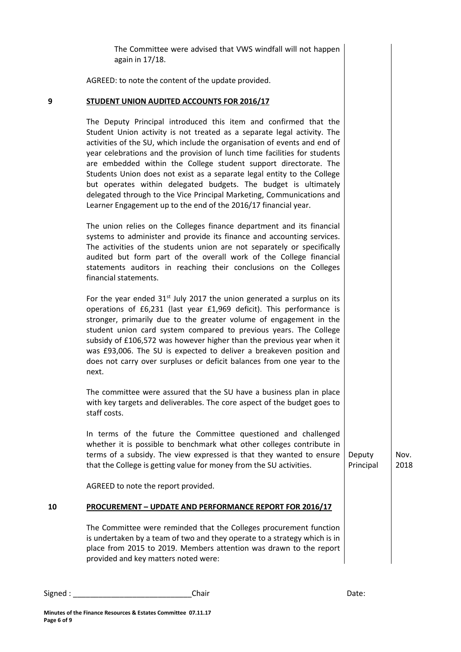The Committee were advised that VWS windfall will not happen again in 17/18.

AGREED: to note the content of the update provided.

#### **9 STUDENT UNION AUDITED ACCOUNTS FOR 2016/17**

The Deputy Principal introduced this item and confirmed that the Student Union activity is not treated as a separate legal activity. The activities of the SU, which include the organisation of events and end of year celebrations and the provision of lunch time facilities for students are embedded within the College student support directorate. The Students Union does not exist as a separate legal entity to the College but operates within delegated budgets. The budget is ultimately delegated through to the Vice Principal Marketing, Communications and Learner Engagement up to the end of the 2016/17 financial year.

The union relies on the Colleges finance department and its financial systems to administer and provide its finance and accounting services. The activities of the students union are not separately or specifically audited but form part of the overall work of the College financial statements auditors in reaching their conclusions on the Colleges financial statements.

For the year ended  $31<sup>st</sup>$  July 2017 the union generated a surplus on its operations of £6,231 (last year £1,969 deficit). This performance is stronger, primarily due to the greater volume of engagement in the student union card system compared to previous years. The College subsidy of £106,572 was however higher than the previous year when it was £93,006. The SU is expected to deliver a breakeven position and does not carry over surpluses or deficit balances from one year to the next.

The committee were assured that the SU have a business plan in place with key targets and deliverables. The core aspect of the budget goes to staff costs.

In terms of the future the Committee questioned and challenged whether it is possible to benchmark what other colleges contribute in terms of a subsidy. The view expressed is that they wanted to ensure that the College is getting value for money from the SU activities.

AGREED to note the report provided.

## **10 PROCUREMENT – UPDATE AND PERFORMANCE REPORT FOR 2016/17**

The Committee were reminded that the Colleges procurement function is undertaken by a team of two and they operate to a strategy which is in place from 2015 to 2019. Members attention was drawn to the report provided and key matters noted were:

Signed : \_\_\_\_\_\_\_\_\_\_\_\_\_\_\_\_\_\_\_\_\_\_\_\_\_\_\_\_Chair Date:

Deputy Principal Nov. 2018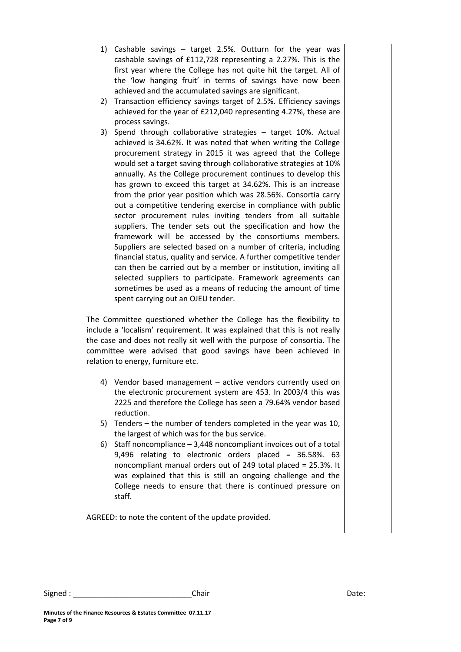- 1) Cashable savings target 2.5%. Outturn for the year was cashable savings of £112,728 representing a 2.27%. This is the first year where the College has not quite hit the target. All of the 'low hanging fruit' in terms of savings have now been achieved and the accumulated savings are significant.
- 2) Transaction efficiency savings target of 2.5%. Efficiency savings achieved for the year of £212,040 representing 4.27%, these are process savings.
- 3) Spend through collaborative strategies target 10%. Actual achieved is 34.62%. It was noted that when writing the College procurement strategy in 2015 it was agreed that the College would set a target saving through collaborative strategies at 10% annually. As the College procurement continues to develop this has grown to exceed this target at 34.62%. This is an increase from the prior year position which was 28.56%. Consortia carry out a competitive tendering exercise in compliance with public sector procurement rules inviting tenders from all suitable suppliers. The tender sets out the specification and how the framework will be accessed by the consortiums members. Suppliers are selected based on a number of criteria, including financial status, quality and service. A further competitive tender can then be carried out by a member or institution, inviting all selected suppliers to participate. Framework agreements can sometimes be used as a means of reducing the amount of time spent carrying out an OJEU tender.

The Committee questioned whether the College has the flexibility to include a 'localism' requirement. It was explained that this is not really the case and does not really sit well with the purpose of consortia. The committee were advised that good savings have been achieved in relation to energy, furniture etc.

- 4) Vendor based management active vendors currently used on the electronic procurement system are 453. In 2003/4 this was 2225 and therefore the College has seen a 79.64% vendor based reduction.
- 5) Tenders the number of tenders completed in the year was 10, the largest of which was for the bus service.
- 6) Staff noncompliance 3,448 noncompliant invoices out of a total 9,496 relating to electronic orders placed = 36.58%. 63 noncompliant manual orders out of 249 total placed = 25.3%. It was explained that this is still an ongoing challenge and the College needs to ensure that there is continued pressure on staff.

AGREED: to note the content of the update provided.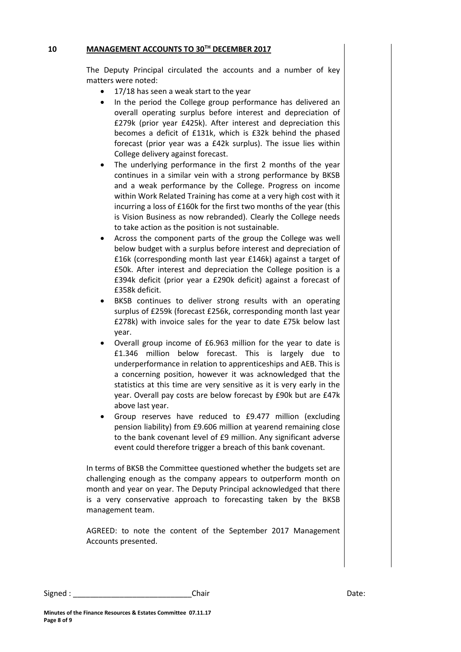## **10 MANAGEMENT ACCOUNTS TO 30TH DECEMBER 2017**

The Deputy Principal circulated the accounts and a number of key matters were noted:

- 17/18 has seen a weak start to the year
- In the period the College group performance has delivered an overall operating surplus before interest and depreciation of £279k (prior year £425k). After interest and depreciation this becomes a deficit of £131k, which is £32k behind the phased forecast (prior year was a £42k surplus). The issue lies within College delivery against forecast.
- The underlying performance in the first 2 months of the year continues in a similar vein with a strong performance by BKSB and a weak performance by the College. Progress on income within Work Related Training has come at a very high cost with it incurring a loss of £160k for the first two months of the year (this is Vision Business as now rebranded). Clearly the College needs to take action as the position is not sustainable.
- Across the component parts of the group the College was well below budget with a surplus before interest and depreciation of £16k (corresponding month last year £146k) against a target of £50k. After interest and depreciation the College position is a £394k deficit (prior year a £290k deficit) against a forecast of £358k deficit.
- BKSB continues to deliver strong results with an operating surplus of £259k (forecast £256k, corresponding month last year £278k) with invoice sales for the year to date £75k below last year.
- Overall group income of £6.963 million for the year to date is £1.346 million below forecast. This is largely due to underperformance in relation to apprenticeships and AEB. This is a concerning position, however it was acknowledged that the statistics at this time are very sensitive as it is very early in the year. Overall pay costs are below forecast by £90k but are £47k above last year.
- Group reserves have reduced to £9.477 million (excluding pension liability) from £9.606 million at yearend remaining close to the bank covenant level of £9 million. Any significant adverse event could therefore trigger a breach of this bank covenant.

In terms of BKSB the Committee questioned whether the budgets set are challenging enough as the company appears to outperform month on month and year on year. The Deputy Principal acknowledged that there is a very conservative approach to forecasting taken by the BKSB management team.

AGREED: to note the content of the September 2017 Management Accounts presented.

Signed : \_\_\_\_\_\_\_\_\_\_\_\_\_\_\_\_\_\_\_\_\_\_\_\_\_\_\_\_\_\_\_\_\_Chair \_\_\_\_\_\_\_\_\_\_\_\_\_\_\_\_\_\_\_\_\_\_\_\_\_\_\_\_\_\_\_\_Date: